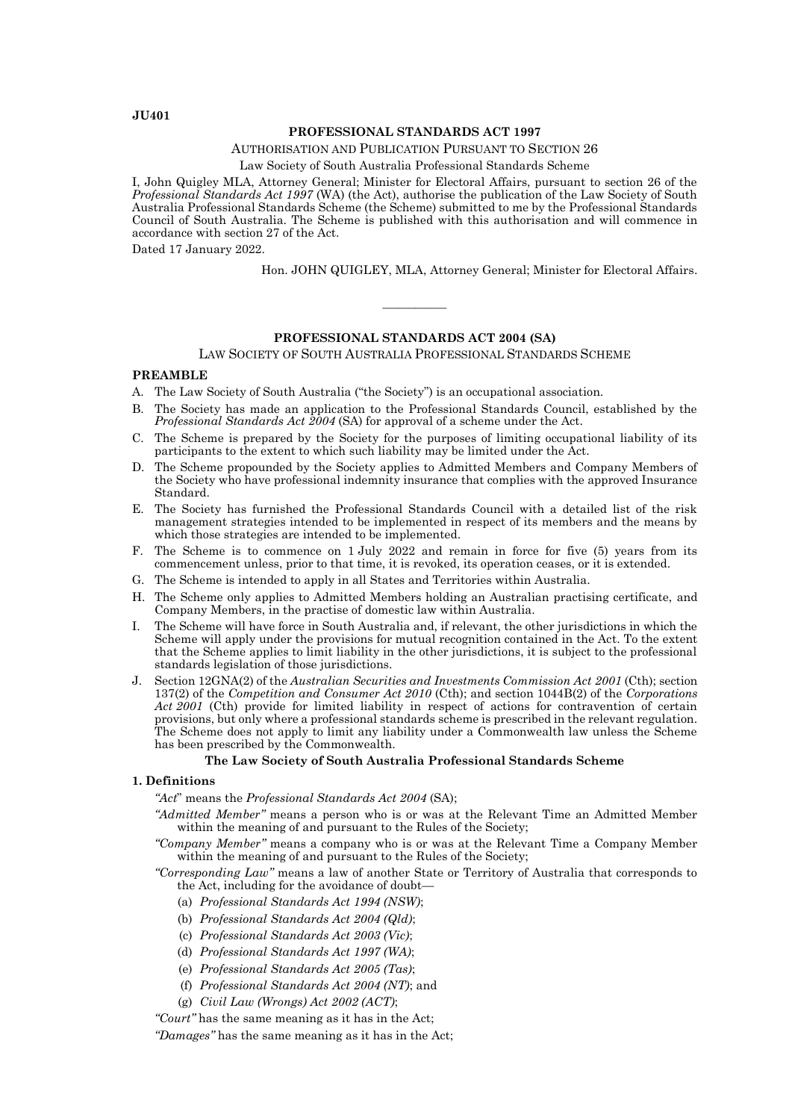**JU401**

## **PROFESSIONAL STANDARDS ACT 1997**

AUTHORISATION AND PUBLICATION PURSUANT TO SECTION 26

Law Society of South Australia Professional Standards Scheme

I, John Quigley MLA, Attorney General; Minister for Electoral Affairs, pursuant to section 26 of the *Professional Standards Act 1997* (WA) (the Act), authorise the publication of the Law Society of South Australia Professional Standards Scheme (the Scheme) submitted to me by the Professional Standards Council of South Australia. The Scheme is published with this authorisation and will commence in accordance with section 27 of the Act.

Dated 17 January 2022.

Hon. JOHN QUIGLEY, MLA, Attorney General; Minister for Electoral Affairs.

#### **PROFESSIONAL STANDARDS ACT 2004 (SA)**

————

LAW SOCIETY OF SOUTH AUSTRALIA PROFESSIONAL STANDARDS SCHEME

# **PREAMBLE**

- A. The Law Society of South Australia ("the Society") is an occupational association.
- B. The Society has made an application to the Professional Standards Council, established by the *Professional Standards Act 2004* (SA) for approval of a scheme under the Act.
- C. The Scheme is prepared by the Society for the purposes of limiting occupational liability of its participants to the extent to which such liability may be limited under the Act.
- D. The Scheme propounded by the Society applies to Admitted Members and Company Members of the Society who have professional indemnity insurance that complies with the approved Insurance Standard.
- E. The Society has furnished the Professional Standards Council with a detailed list of the risk management strategies intended to be implemented in respect of its members and the means by which those strategies are intended to be implemented.
- F. The Scheme is to commence on 1 July 2022 and remain in force for five (5) years from its commencement unless, prior to that time, it is revoked, its operation ceases, or it is extended.
- G. The Scheme is intended to apply in all States and Territories within Australia.
- H. The Scheme only applies to Admitted Members holding an Australian practising certificate, and Company Members, in the practise of domestic law within Australia.
- I. The Scheme will have force in South Australia and, if relevant, the other jurisdictions in which the Scheme will apply under the provisions for mutual recognition contained in the Act. To the extent that the Scheme applies to limit liability in the other jurisdictions, it is subject to the professional standards legislation of those jurisdictions.
- J. Section 12GNA(2) of the *Australian Securities and Investments Commission Act 2001* (Cth); section 137(2) of the *Competition and Consumer Act 2010* (Cth); and section 1044B(2) of the *Corporations Act 2001* (Cth) provide for limited liability in respect of actions for contravention of certain provisions, but only where a professional standards scheme is prescribed in the relevant regulation. The Scheme does not apply to limit any liability under a Commonwealth law unless the Scheme has been prescribed by the Commonwealth.

#### **The Law Society of South Australia Professional Standards Scheme**

#### **1. Definitions**

*"Act*" means the *Professional Standards Act 2004* (SA);

- *"Admitted Member"* means a person who is or was at the Relevant Time an Admitted Member within the meaning of and pursuant to the Rules of the Society;
- *"Company Member"* means a company who is or was at the Relevant Time a Company Member within the meaning of and pursuant to the Rules of the Society;
- *"Corresponding Law"* means a law of another State or Territory of Australia that corresponds to the Act, including for the avoidance of doubt—
	- (a) *Professional Standards Act 1994 (NSW)*;
	- (b) *Professional Standards Act 2004 (Qld)*;
	- (c) *Professional Standards Act 2003 (Vic)*;
	- (d) *Professional Standards Act 1997 (WA)*;
	- (e) *Professional Standards Act 2005 (Tas)*;
	- (f) *Professional Standards Act 2004 (NT)*; and
	- (g) *Civil Law (Wrongs) Act 2002 (ACT)*;

*"Court"* has the same meaning as it has in the Act;

*"Damages"* has the same meaning as it has in the Act;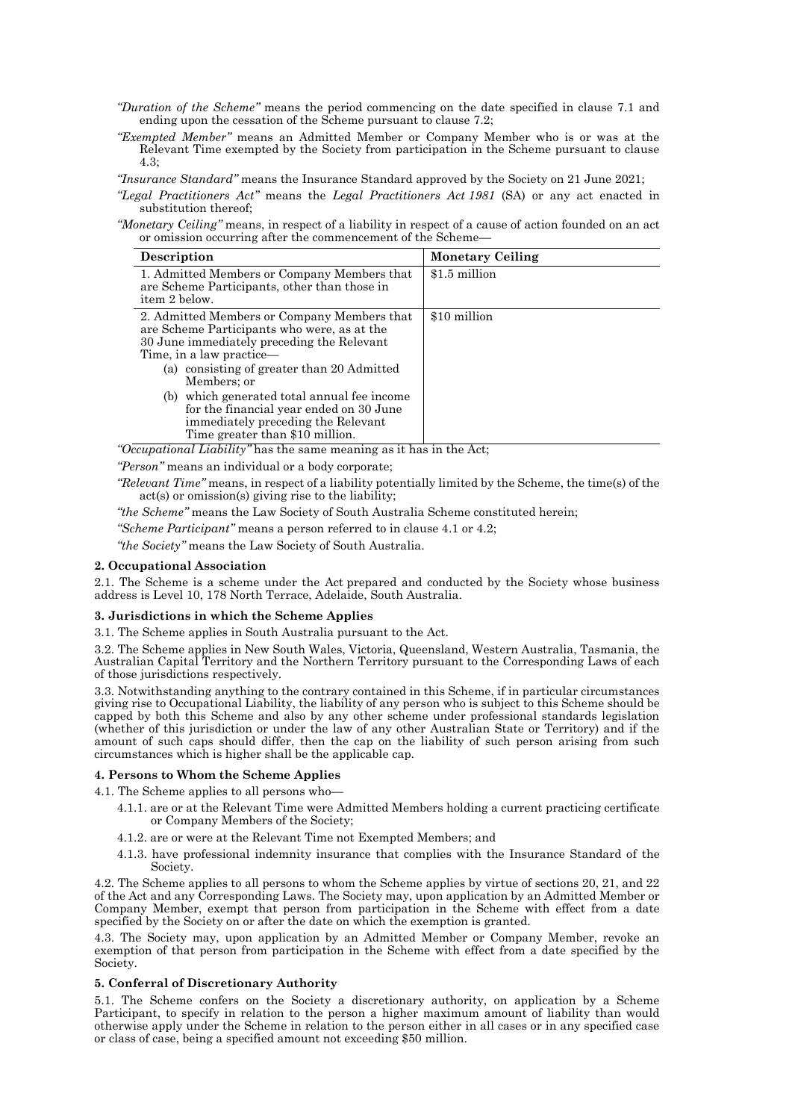- *"Duration of the Scheme"* means the period commencing on the date specified in clause 7.1 and ending upon the cessation of the Scheme pursuant to clause 7.2;
- *"Exempted Member"* means an Admitted Member or Company Member who is or was at the Relevant Time exempted by the Society from participation in the Scheme pursuant to clause 4.3;

*"Insurance Standard"* means the Insurance Standard approved by the Society on 21 June 2021;

*"Legal Practitioners Act"* means the *Legal Practitioners Act 1981* (SA) or any act enacted in substitution thereof;

*"Monetary Ceiling"* means, in respect of a liability in respect of a cause of action founded on an act or omission occurring after the commencement of the Scheme—

| Description                                                                                                                                                                                                                                                                                                                                                                                          | <b>Monetary Ceiling</b> |
|------------------------------------------------------------------------------------------------------------------------------------------------------------------------------------------------------------------------------------------------------------------------------------------------------------------------------------------------------------------------------------------------------|-------------------------|
| 1. Admitted Members or Company Members that<br>are Scheme Participants, other than those in<br>item 2 below.                                                                                                                                                                                                                                                                                         | \$1.5 million           |
| 2. Admitted Members or Company Members that<br>are Scheme Participants who were, as at the<br>30 June immediately preceding the Relevant<br>Time, in a law practice—<br>(a) consisting of greater than 20 Admitted<br>Members; or<br>(b) which generated total annual fee income<br>for the financial year ended on 30 June<br>immediately preceding the Relevant<br>Time greater than \$10 million. | \$10 million            |

*"Occupational Liability"* has the same meaning as it has in the Act;

*"Person"* means an individual or a body corporate;

*"Relevant Time"* means, in respect of a liability potentially limited by the Scheme, the time(s) of the act(s) or omission(s) giving rise to the liability;

*"the Scheme"* means the Law Society of South Australia Scheme constituted herein;

*"Scheme Participant"* means a person referred to in clause 4.1 or 4.2;

*"the Society"* means the Law Society of South Australia.

### **2. Occupational Association**

2.1. The Scheme is a scheme under the Act prepared and conducted by the Society whose business address is Level 10, 178 North Terrace, Adelaide, South Australia.

#### **3. Jurisdictions in which the Scheme Applies**

3.1. The Scheme applies in South Australia pursuant to the Act.

3.2. The Scheme applies in New South Wales, Victoria, Queensland, Western Australia, Tasmania, the Australian Capital Territory and the Northern Territory pursuant to the Corresponding Laws of each of those jurisdictions respectively.

3.3. Notwithstanding anything to the contrary contained in this Scheme, if in particular circumstances giving rise to Occupational Liability, the liability of any person who is subject to this Scheme should be capped by both this Scheme and also by any other scheme under professional standards legislation (whether of this jurisdiction or under the law of any other Australian State or Territory) and if the amount of such caps should differ, then the cap on the liability of such person arising from such circumstances which is higher shall be the applicable cap.

## **4. Persons to Whom the Scheme Applies**

4.1. The Scheme applies to all persons who—

- 4.1.1. are or at the Relevant Time were Admitted Members holding a current practicing certificate or Company Members of the Society;
- 4.1.2. are or were at the Relevant Time not Exempted Members; and
- 4.1.3. have professional indemnity insurance that complies with the Insurance Standard of the Society.

4.2. The Scheme applies to all persons to whom the Scheme applies by virtue of sections 20, 21, and 22 of the Act and any Corresponding Laws. The Society may, upon application by an Admitted Member or Company Member, exempt that person from participation in the Scheme with effect from a date specified by the Society on or after the date on which the exemption is granted.

4.3. The Society may, upon application by an Admitted Member or Company Member, revoke an exemption of that person from participation in the Scheme with effect from a date specified by the Society.

# **5. Conferral of Discretionary Authority**

5.1. The Scheme confers on the Society a discretionary authority, on application by a Scheme Participant, to specify in relation to the person a higher maximum amount of liability than would otherwise apply under the Scheme in relation to the person either in all cases or in any specified case or class of case, being a specified amount not exceeding \$50 million.